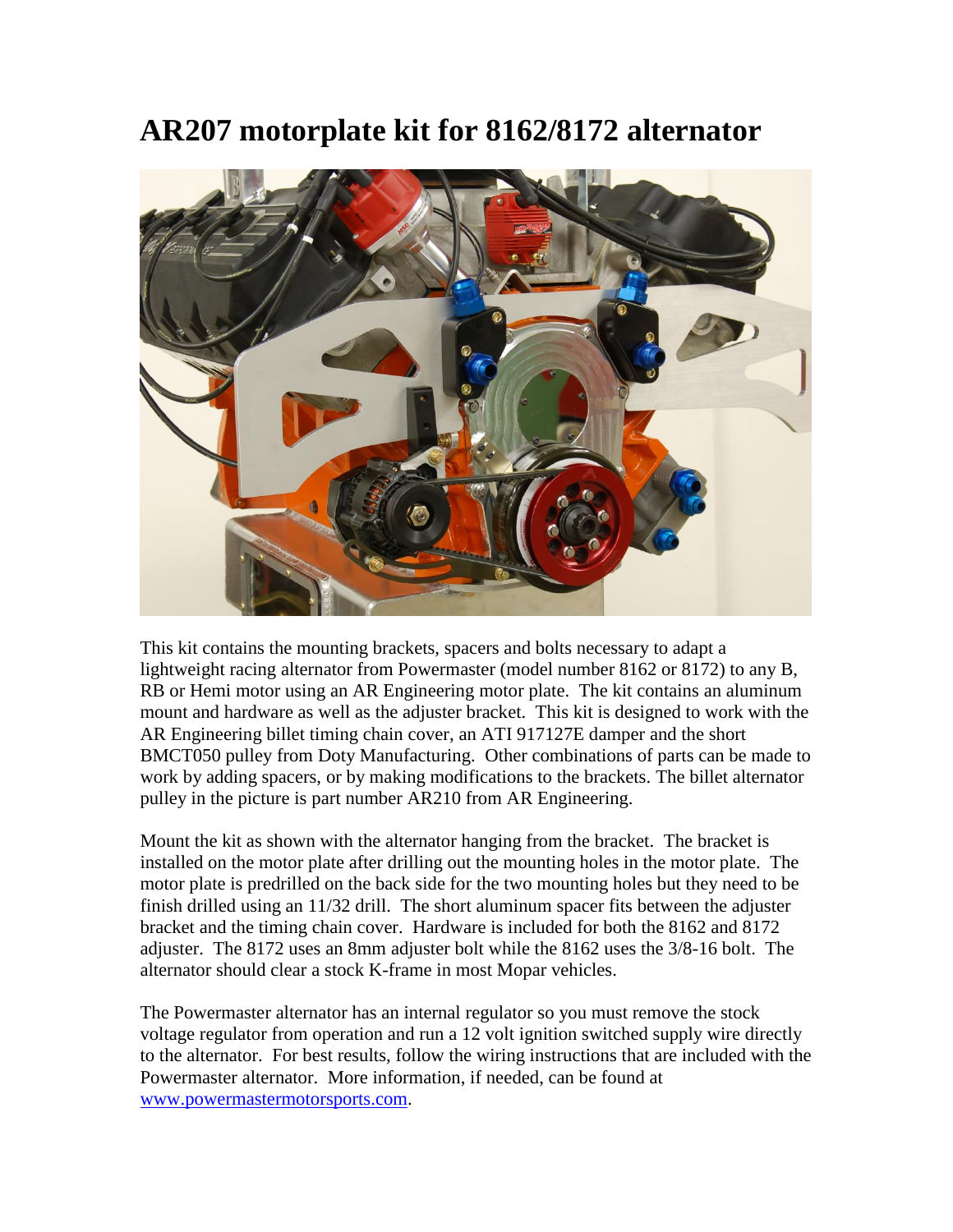## **AR207 motorplate kit for 8162/8172 alternator**



This kit contains the mounting brackets, spacers and bolts necessary to adapt a lightweight racing alternator from Powermaster (model number 8162 or 8172) to any B, RB or Hemi motor using an AR Engineering motor plate. The kit contains an aluminum mount and hardware as well as the adjuster bracket. This kit is designed to work with the AR Engineering billet timing chain cover, an ATI 917127E damper and the short BMCT050 pulley from Doty Manufacturing. Other combinations of parts can be made to work by adding spacers, or by making modifications to the brackets. The billet alternator pulley in the picture is part number AR210 from AR Engineering.

Mount the kit as shown with the alternator hanging from the bracket. The bracket is installed on the motor plate after drilling out the mounting holes in the motor plate. The motor plate is predrilled on the back side for the two mounting holes but they need to be finish drilled using an 11/32 drill. The short aluminum spacer fits between the adjuster bracket and the timing chain cover. Hardware is included for both the 8162 and 8172 adjuster. The 8172 uses an 8mm adjuster bolt while the 8162 uses the 3/8-16 bolt. The alternator should clear a stock K-frame in most Mopar vehicles.

The Powermaster alternator has an internal regulator so you must remove the stock voltage regulator from operation and run a 12 volt ignition switched supply wire directly to the alternator. For best results, follow the wiring instructions that are included with the Powermaster alternator. More information, if needed, can be found at [www.powermastermotorsports.com.](http://www.powermastermotorsports.com/)